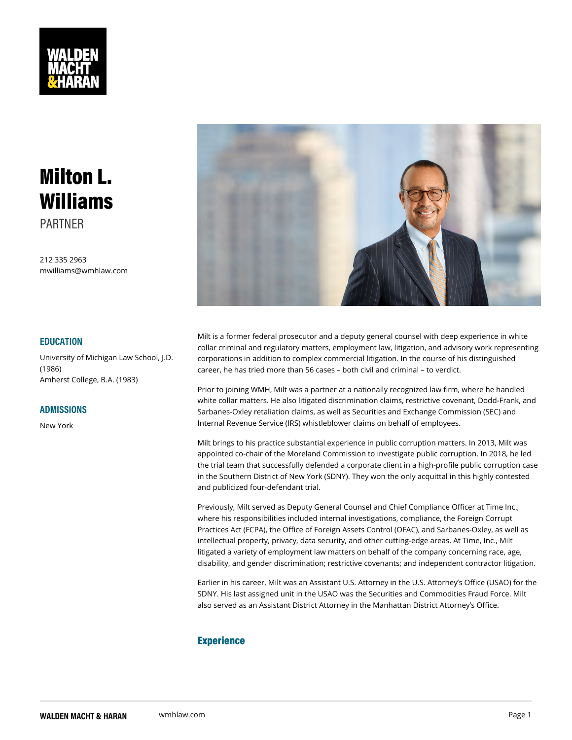# Milton L. Williams PARTNER

212 335 2963 mwilliams@wmhlaw.com

### EDUCATION

collar criminal and regulatory matters, employment law, litigation, and University of Michigan Law Schorplord thons in addition to complex commercial litigation. In the cours career, he has tried more than 56 cases both civil and criminal to (1986) Amherst College, B.A. (1983)

### ADMISSIONS

New York

Prior to joining WMH, Milt was a partner at a nationally recognized la white collar matters. He also litigated discrimination claims, restrictiv Sarbanes-Oxley retaliation claims, as well as Securities and Exchange Internal Revenue Service (IRS) whistleblower claims on behalf of emp

Milt is a former federal prosecutor and a deputy general counsel with

Milt brings to his practice substantial experience in public corruption appointed co-chair of the Moreland Commission to investigate public or the trial team that successfully defended a corporate client in a highin the Southern District of New York (SDNY). They won the only acqui and publicized four-defendant trial.

Previously, Milt served as Deputy General Counsel and Chief Complia where his responsibilities included internal investigations, compliance Practices Act (FCPA), the Office of Foreign Assets Control (OFAC), and intellectual property, privacy, data security, and other cutting-edge a litigated a variety of employment law matters on behalf of the compan disability, and gender discrimination; restrictive covenants; and indep

Earlier in his career, Milt was an Assistant U.S. Attorney in the U.S. SDNY. His last assigned unit in the USAO was the Securities and Com also served as an Assistant District Attorney in the Manhattan Distric

### Experience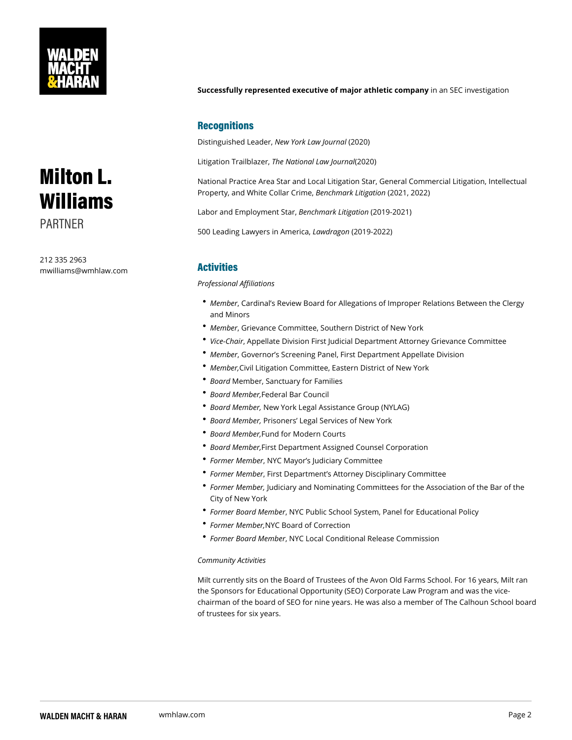## Recognitions

Distinguished LNeeand eYrork Law (2002nOn)al

Litigation TraiThe Abertional La(2020) rnal

National Practice Area Star and Local Litigation Star, General Comme Property, and White C & Hear Com am le, Lit (  $g \theta$  2i b, n 2022)

Labor and EmploymBencShtmangrk Litigation 2021)

500 Leading Lawyers Lnaw Commeng (0260, 19 - 2022)

## Activities

Professional Affiliations

- $^{\bullet}$  Memb, Cardinal s Review Board for Allegations of Improper Relations and Minors
- \* MembeGrievance Committee, Southern District of New York
- Vice-C,haippellate Division First Judicial Department Attorney Grievance
- \* MembeGovernor s Screening Panel, First Department Appellate Divi
- **Members** Will Litigation Committee, Eastern District of New York
- **\* Boar Member, Sanctuary for Families**
- **Board Membede, ral Bar Council**
- **Board Membew, York Legal Assistance Group (NYLAG)**
- **Board Mem Beis, oners Legal Services of New York**
- **Board MemFibed, for Modern Courts**
- $\bullet$  Board MemFibrest, Department Assigned Counsel Corporation
- **Former Me,mNVEC Mayor s Judiciary Committee**
- Former Me,mhöerst Department s Attorney Disciplinary Committee
- Former Memulau diciary and Nominating Committees for the Association City of New York
- **Former Board MembePublic School System, Panel for Educational P**o
- **Former MemberBoard of Correction**
- **Former Board MNMCerocal Conditional Release Commission**

#### Community Activities

Milt currently sits on the Board of Trustees of the Avon Old Farms School. the Sponsors for Educational Opportunity (SEO) Corporate Law Progra chairman of the board of SEO for nine years. He was also a member o of trustees for six years.

# Milton L. Williams PARTNER

212 335 2963 mwilliams@wmhlaw.com